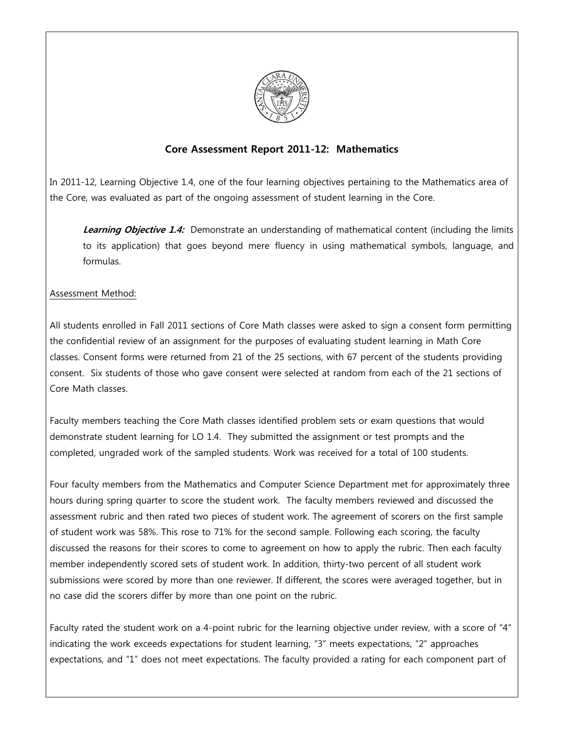

## **Core Assessment Report 2011-12: Mathematics**

In 2011-12, Learning Objective 1.4, one of the four learning objectives pertaining to the Mathematics area of the Core, was evaluated as part of the ongoing assessment of student learning in the Core.

**Learning Objective 1.4:** Demonstrate an understanding of mathematical content (including the limits to its application) that goes beyond mere fluency in using mathematical symbols, language, and formulas.

### Assessment Method:

All students enrolled in Fall 2011 sections of Core Math classes were asked to sign a consent form permitting the confidential review of an assignment for the purposes of evaluating student learning in Math Core classes. Consent forms were returned from 21 of the 25 sections, with 67 percent of the students providing consent. Six students of those who gave consent were selected at random from each of the 21 sections of Core Math classes.

Faculty members teaching the Core Math classes identified problem sets or exam questions that would demonstrate student learning for LO 1.4. They submitted the assignment or test prompts and the completed, ungraded work of the sampled students. Work was received for a total of 100 students.

Four faculty members from the Mathematics and Computer Science Department met for approximately three hours during spring quarter to score the student work. The faculty members reviewed and discussed the assessment rubric and then rated two pieces of student work. The agreement of scorers on the first sample of student work was 58%. This rose to 71% for the second sample. Following each scoring, the faculty discussed the reasons for their scores to come to agreement on how to apply the rubric. Then each faculty member independently scored sets of student work. In addition, thirty-two percent of all student work submissions were scored by more than one reviewer. If different, the scores were averaged together, but in no case did the scorers differ by more than one point on the rubric.

Faculty rated the student work on a 4-point rubric for the learning objective under review, with a score of "4" indicating the work exceeds expectations for student learning, "3" meets expectations, "2" approaches expectations, and "1" does not meet expectations. The faculty provided a rating for each component part of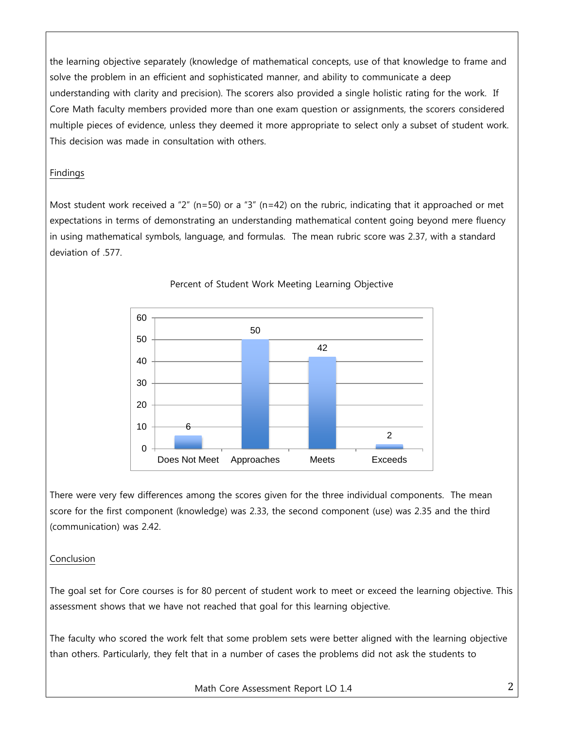the learning objective separately (knowledge of mathematical concepts, use of that knowledge to frame and solve the problem in an efficient and sophisticated manner, and ability to communicate a deep understanding with clarity and precision). The scorers also provided a single holistic rating for the work. If Core Math faculty members provided more than one exam question or assignments, the scorers considered multiple pieces of evidence, unless they deemed it more appropriate to select only a subset of student work. This decision was made in consultation with others.

## Findings

Most student work received a "2" (n=50) or a "3" (n=42) on the rubric, indicating that it approached or met expectations in terms of demonstrating an understanding mathematical content going beyond mere fluency in using mathematical symbols, language, and formulas. The mean rubric score was 2.37, with a standard deviation of .577.



### Percent of Student Work Meeting Learning Objective

There were very few differences among the scores given for the three individual components. The mean score for the first component (knowledge) was 2.33, the second component (use) was 2.35 and the third (communication) was 2.42.

## Conclusion

The goal set for Core courses is for 80 percent of student work to meet or exceed the learning objective. This assessment shows that we have not reached that goal for this learning objective.

The faculty who scored the work felt that some problem sets were better aligned with the learning objective than others. Particularly, they felt that in a number of cases the problems did not ask the students to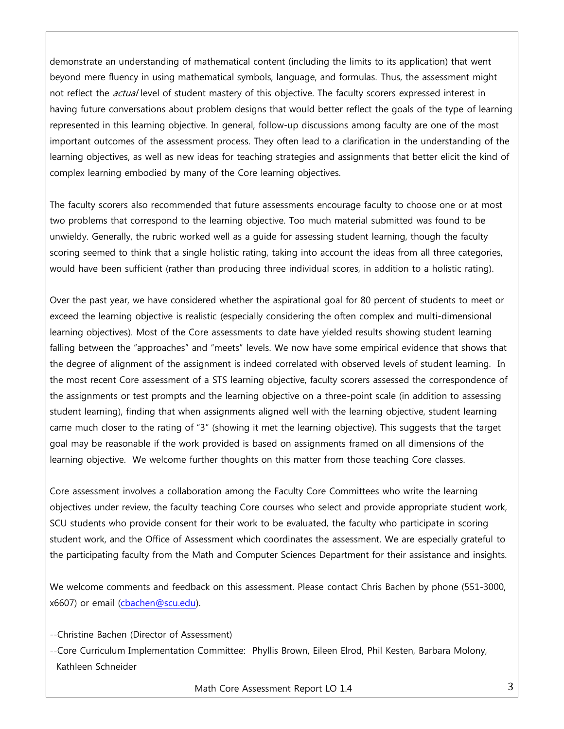demonstrate an understanding of mathematical content (including the limits to its application) that went beyond mere fluency in using mathematical symbols, language, and formulas. Thus, the assessment might not reflect the *actual* level of student mastery of this objective. The faculty scorers expressed interest in having future conversations about problem designs that would better reflect the goals of the type of learning represented in this learning objective. In general, follow-up discussions among faculty are one of the most important outcomes of the assessment process. They often lead to a clarification in the understanding of the learning objectives, as well as new ideas for teaching strategies and assignments that better elicit the kind of complex learning embodied by many of the Core learning objectives.

The faculty scorers also recommended that future assessments encourage faculty to choose one or at most two problems that correspond to the learning objective. Too much material submitted was found to be unwieldy. Generally, the rubric worked well as a guide for assessing student learning, though the faculty scoring seemed to think that a single holistic rating, taking into account the ideas from all three categories, would have been sufficient (rather than producing three individual scores, in addition to a holistic rating).

Over the past year, we have considered whether the aspirational goal for 80 percent of students to meet or exceed the learning objective is realistic (especially considering the often complex and multi-dimensional learning objectives). Most of the Core assessments to date have yielded results showing student learning falling between the "approaches" and "meets" levels. We now have some empirical evidence that shows that the degree of alignment of the assignment is indeed correlated with observed levels of student learning. In the most recent Core assessment of a STS learning objective, faculty scorers assessed the correspondence of the assignments or test prompts and the learning objective on a three-point scale (in addition to assessing student learning), finding that when assignments aligned well with the learning objective, student learning came much closer to the rating of "3" (showing it met the learning objective). This suggests that the target goal may be reasonable if the work provided is based on assignments framed on all dimensions of the learning objective. We welcome further thoughts on this matter from those teaching Core classes.

Core assessment involves a collaboration among the Faculty Core Committees who write the learning objectives under review, the faculty teaching Core courses who select and provide appropriate student work, SCU students who provide consent for their work to be evaluated, the faculty who participate in scoring student work, and the Office of Assessment which coordinates the assessment. We are especially grateful to the participating faculty from the Math and Computer Sciences Department for their assistance and insights.

We welcome comments and feedback on this assessment. Please contact Chris Bachen by phone (551-3000, x6607) or email [\(cbachen@scu.edu\)](mailto:cbachen@scu.edu).

--Christine Bachen (Director of Assessment)

--Core Curriculum Implementation Committee: Phyllis Brown, Eileen Elrod, Phil Kesten, Barbara Molony, Kathleen Schneider

Math Core Assessment Report LO 1.4 3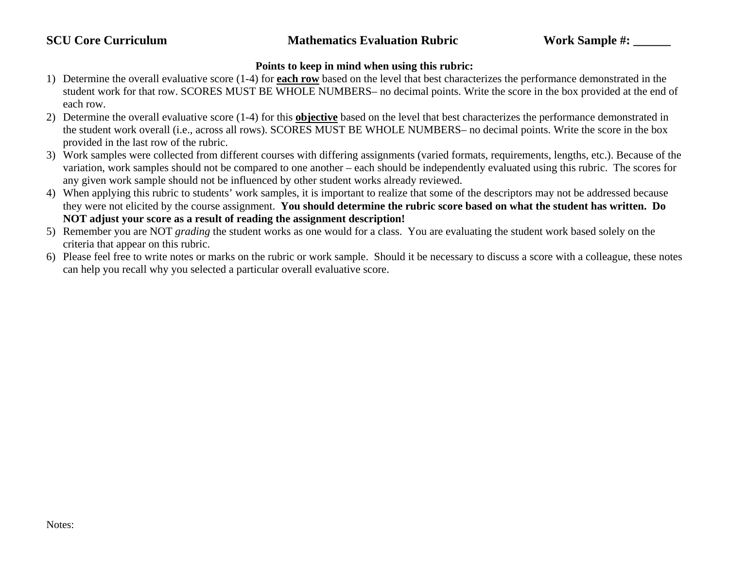# **SCU Core Curriculum Mathematics Evaluation Rubric Work Sample #:**

#### **Points to keep in mind when using this rubric:**

- 1) Determine the overall evaluative score (1-4) for **each row** based on the level that best characterizes the performance demonstrated in the student work for that row. SCORES MUST BE WHOLE NUMBERS– no decimal points. Write the score in the box provided at the end of each row.
- 2) Determine the overall evaluative score (1-4) for this **objective** based on the level that best characterizes the performance demonstrated in the student work overall (i.e., across all rows). SCORES MUST BE WHOLE NUMBERS– no decimal points. Write the score in the box provided in the last row of the rubric.
- 3) Work samples were collected from different courses with differing assignments (varied formats, requirements, lengths, etc.). Because of the variation, work samples should not be compared to one another – each should be independently evaluated using this rubric. The scores for any given work sample should not be influenced by other student works already reviewed.
- 4) When applying this rubric to students' work samples, it is important to realize that some of the descriptors may not be addressed because they were not elicited by the course assignment. **You should determine the rubric score based on what the student has written. Do NOT adjust your score as a result of reading the assignment description!**
- 5) Remember you are NOT *grading* the student works as one would for a class. You are evaluating the student work based solely on the criteria that appear on this rubric.
- 6) Please feel free to write notes or marks on the rubric or work sample. Should it be necessary to discuss a score with a colleague, these notes can help you recall why you selected a particular overall evaluative score.